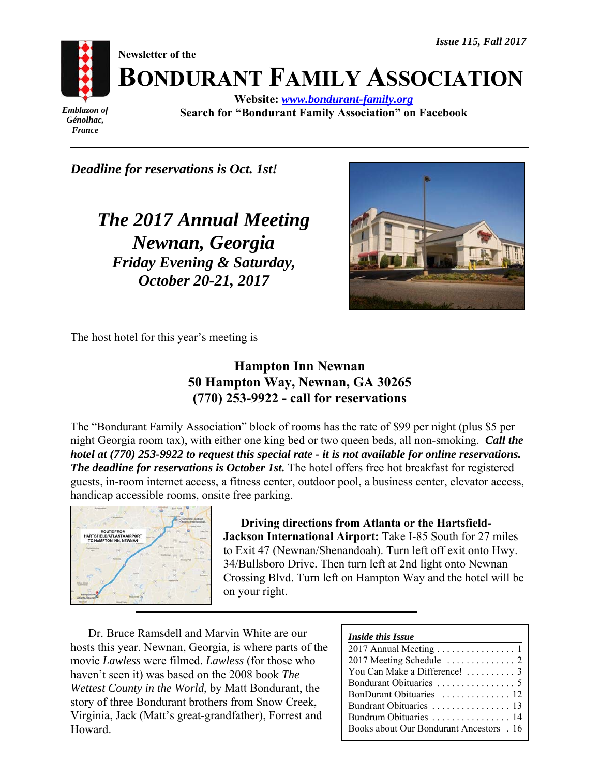

*Génolhac, France*

**BONDURANT FAMILY ASSOCIATION**

**Website:** *www.bondurant-family.org* **Search for "Bondurant Family Association" on Facebook**

*Deadline for reservations is Oct. 1st!*

*The 2017 Annual Meeting Newnan, Georgia Friday Evening & Saturday, October 20-21, 2017*



The host hotel for this year's meeting is

# **Hampton Inn Newnan 50 Hampton Way, Newnan, GA 30265 (770) 253-9922 - call for reservations**

The "Bondurant Family Association" block of rooms has the rate of \$99 per night (plus \$5 per night Georgia room tax), with either one king bed or two queen beds, all non-smoking. *Call the hotel at (770) 253-9922 to request this special rate - it is not available for online reservations. The deadline for reservations is October 1st.* The hotel offers free hot breakfast for registered guests, in-room internet access, a fitness center, outdoor pool, a business center, elevator access, handicap accessible rooms, onsite free parking.



**Driving directions from Atlanta or the Hartsfield-Jackson International Airport:** Take I-85 South for 27 miles to Exit 47 (Newnan/Shenandoah). Turn left off exit onto Hwy. 34/Bullsboro Drive. Then turn left at 2nd light onto Newnan Crossing Blvd. Turn left on Hampton Way and the hotel will be on your right.

Dr. Bruce Ramsdell and Marvin White are our hosts this year. Newnan, Georgia, is where parts of the movie *Lawless* were filmed. *Lawless* (for those who haven't seen it) was based on the 2008 book *The Wettest County in the World*, by Matt Bondurant, the story of three Bondurant brothers from Snow Creek, Virginia, Jack (Matt's great-grandfather), Forrest and Howard.

| <i>Inside this Issue</i>                 |
|------------------------------------------|
| 2017 Annual Meeting  1                   |
|                                          |
| You Can Make a Difference!  3            |
|                                          |
| BonDurant Obituaries  12                 |
| Bundrant Obituaries  13                  |
| Bundrum Obituaries  14                   |
| Books about Our Bondurant Ancestors . 16 |
|                                          |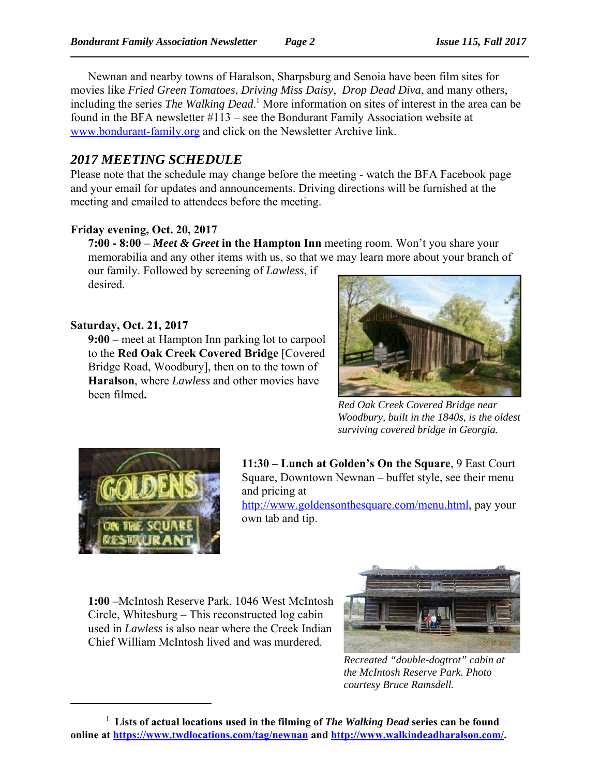Newnan and nearby towns of Haralson, Sharpsburg and Senoia have been film sites for movies like *Fried Green Tomatoes*, *Driving Miss Daisy*, *Drop Dead Diva*, and many others, including the series *The Walking Dead*. 1 More information on sites of interest in the area can be found in the BFA newsletter #113 – see the Bondurant Family Association website at www.bondurant-family.org and click on the Newsletter Archive link.

# *2017 MEETING SCHEDULE*

Please note that the schedule may change before the meeting - watch the BFA Facebook page and your email for updates and announcements. Driving directions will be furnished at the meeting and emailed to attendees before the meeting.

# **Friday evening, Oct. 20, 2017**

**7:00 - 8:00 –** *Meet & Greet* **in the Hampton Inn** meeting room. Won't you share your memorabilia and any other items with us, so that we may learn more about your branch of our family. Followed by screening of *Lawless*, if desired.

**Saturday, Oct. 21, 2017**

**9:00 –** meet at Hampton Inn parking lot to carpool to the **Red Oak Creek Covered Bridge** [Covered Bridge Road, Woodbury], then on to the town of **Haralson**, where *Lawless* and other movies have been filmed**.** 



*Red Oak Creek Covered Bridge near Woodbury, built in the 1840s, is the oldest surviving covered bridge in Georgia.*



**11:30 – Lunch at Golden's On the Square**, 9 East Court Square, Downtown Newnan – buffet style, see their menu and pricing at

http://www.goldensonthesquare.com/menu.html, pay your own tab and tip.

**1:00 –**McIntosh Reserve Park, 1046 West McIntosh Circle, Whitesburg – This reconstructed log cabin used in *Lawless* is also near where the Creek Indian Chief William McIntosh lived and was murdered.



*Recreated "double-dogtrot" cabin at the McIntosh Reserve Park. Photo courtesy Bruce Ramsdell.*

<sup>1</sup>  **Lists of actual locations used in the filming of** *The Walking Dead* **series can be found** online at https://www.twdlocations.com/tag/newnan and http://www.walkindeadharalson.com/.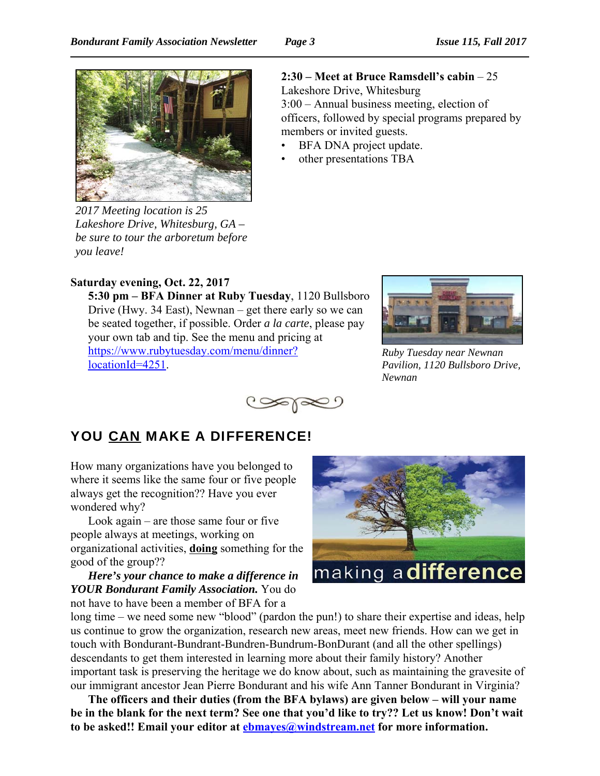

*2017 Meeting location is 25 Lakeshore Drive, Whitesburg, GA – be sure to tour the arboretum before you leave!*

# **2:30 – Meet at Bruce Ramsdell's cabin** – 25

Lakeshore Drive, Whitesburg 3:00 – Annual business meeting, election of officers, followed by special programs prepared by members or invited guests.

- BFA DNA project update.
- other presentations TBA

# **Saturday evening, Oct. 22, 2017**

**5:30 pm – BFA Dinner at Ruby Tuesday**, 1120 Bullsboro Drive (Hwy. 34 East), Newnan – get there early so we can be seated together, if possible. Order *a la carte*, please pay your own tab and tip. See the menu and pricing at https://www.rubytuesday.com/menu/dinner? locationId=4251.



*Ruby Tuesday near Newnan Pavilion, 1120 Bullsboro Drive, Newnan*



# YOU CAN MAKE A DIFFERENCE!

How many organizations have you belonged to where it seems like the same four or five people always get the recognition?? Have you ever wondered why?

Look again – are those same four or five people always at meetings, working on organizational activities, **doing** something for the good of the group??

*Here's your chance to make a difference in YOUR Bondurant Family Association.* You do not have to have been a member of BFA for a



long time – we need some new "blood" (pardon the pun!) to share their expertise and ideas, help us continue to grow the organization, research new areas, meet new friends. How can we get in touch with Bondurant-Bundrant-Bundren-Bundrum-BonDurant (and all the other spellings) descendants to get them interested in learning more about their family history? Another important task is preserving the heritage we do know about, such as maintaining the gravesite of our immigrant ancestor Jean Pierre Bondurant and his wife Ann Tanner Bondurant in Virginia?

**The officers and their duties (from the BFA bylaws) are given below – will your name be in the blank for the next term? See one that you'd like to try?? Let us know! Don't wait to be asked!! Email your editor at ebmayes@windstream.net for more information.**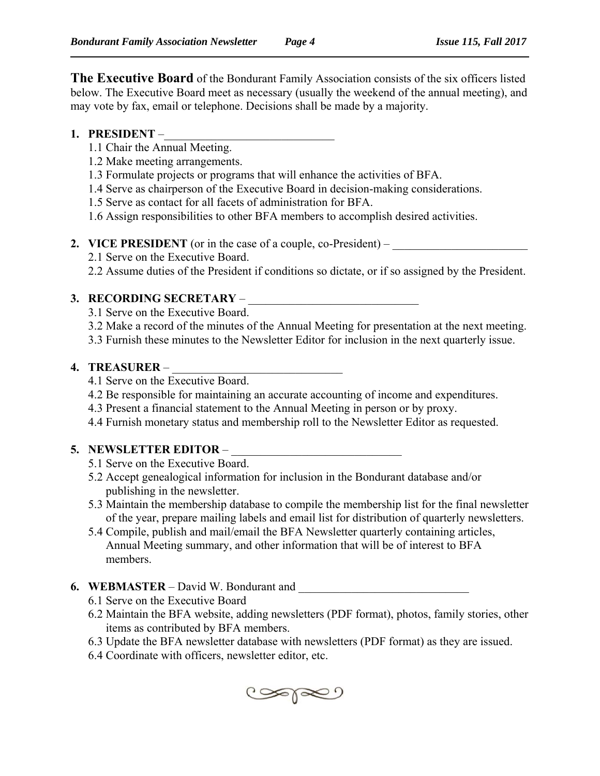**The Executive Board** of the Bondurant Family Association consists of the six officers listed below. The Executive Board meet as necessary (usually the weekend of the annual meeting), and may vote by fax, email or telephone. Decisions shall be made by a majority.

## **1. PRESIDENT** –

- 1.1 Chair the Annual Meeting.
- 1.2 Make meeting arrangements.
- 1.3 Formulate projects or programs that will enhance the activities of BFA.
- 1.4 Serve as chairperson of the Executive Board in decision-making considerations.
- 1.5 Serve as contact for all facets of administration for BFA.
- 1.6 Assign responsibilities to other BFA members to accomplish desired activities.
- **2. VICE PRESIDENT** (or in the case of a couple, co-President)
	- 2.1 Serve on the Executive Board.
	- 2.2 Assume duties of the President if conditions so dictate, or if so assigned by the President.

# **3. RECORDING SECRETARY** – \_\_\_\_\_\_\_\_\_\_\_\_\_\_\_\_\_\_\_\_\_\_\_\_\_\_\_\_\_

- 3.1 Serve on the Executive Board.
- 3.2 Make a record of the minutes of the Annual Meeting for presentation at the next meeting.
- 3.3 Furnish these minutes to the Newsletter Editor for inclusion in the next quarterly issue.

## **4. TREASURER –**

- 4.1 Serve on the Executive Board.
- 4.2 Be responsible for maintaining an accurate accounting of income and expenditures.
- 4.3 Present a financial statement to the Annual Meeting in person or by proxy.
- 4.4 Furnish monetary status and membership roll to the Newsletter Editor as requested.

# **5. NEWSLETTER EDITOR –**

- 5.1 Serve on the Executive Board.
- 5.2 Accept genealogical information for inclusion in the Bondurant database and/or publishing in the newsletter.
- 5.3 Maintain the membership database to compile the membership list for the final newsletter of the year, prepare mailing labels and email list for distribution of quarterly newsletters.
- 5.4 Compile, publish and mail/email the BFA Newsletter quarterly containing articles, Annual Meeting summary, and other information that will be of interest to BFA members.
- **6. WEBMASTER** David W. Bondurant and
	- 6.1 Serve on the Executive Board
	- 6.2 Maintain the BFA website, adding newsletters (PDF format), photos, family stories, other items as contributed by BFA members.
	- 6.3 Update the BFA newsletter database with newsletters (PDF format) as they are issued.
	- 6.4 Coordinate with officers, newsletter editor, etc.

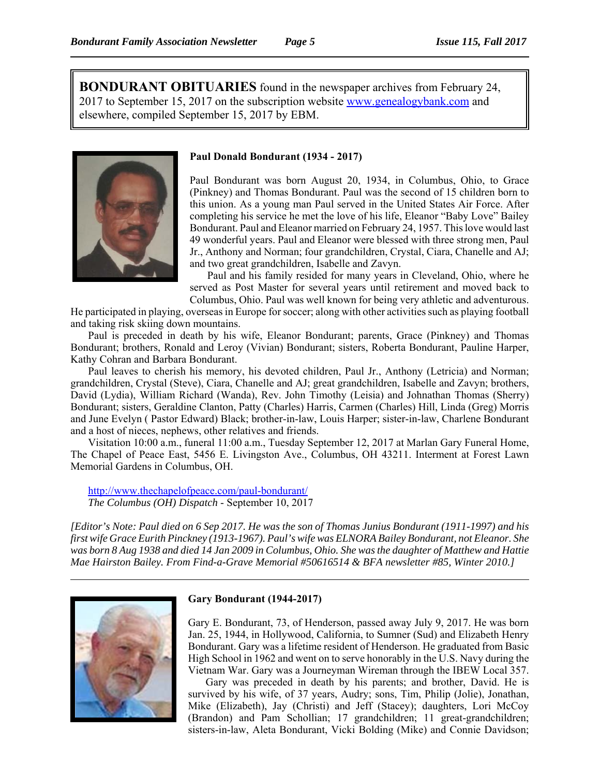**BONDURANT OBITUARIES** found in the newspaper archives from February 24, 2017 to September 15, 2017 on the subscription website www.genealogybank.com and elsewhere, compiled September 15, 2017 by EBM.



### **Paul Donald Bondurant (1934 - 2017)**

Paul Bondurant was born August 20, 1934, in Columbus, Ohio, to Grace (Pinkney) and Thomas Bondurant. Paul was the second of 15 children born to this union. As a young man Paul served in the United States Air Force. After completing his service he met the love of his life, Eleanor "Baby Love" Bailey Bondurant. Paul and Eleanor married on February 24, 1957. This love would last 49 wonderful years. Paul and Eleanor were blessed with three strong men, Paul Jr., Anthony and Norman; four grandchildren, Crystal, Ciara, Chanelle and AJ; and two great grandchildren, Isabelle and Zavyn.

Paul and his family resided for many years in Cleveland, Ohio, where he served as Post Master for several years until retirement and moved back to Columbus, Ohio. Paul was well known for being very athletic and adventurous.

He participated in playing, overseas in Europe for soccer; along with other activities such as playing football and taking risk skiing down mountains.

Paul is preceded in death by his wife, Eleanor Bondurant; parents, Grace (Pinkney) and Thomas Bondurant; brothers, Ronald and Leroy (Vivian) Bondurant; sisters, Roberta Bondurant, Pauline Harper, Kathy Cohran and Barbara Bondurant.

Paul leaves to cherish his memory, his devoted children, Paul Jr., Anthony (Letricia) and Norman; grandchildren, Crystal (Steve), Ciara, Chanelle and AJ; great grandchildren, Isabelle and Zavyn; brothers, David (Lydia), William Richard (Wanda), Rev. John Timothy (Leisia) and Johnathan Thomas (Sherry) Bondurant; sisters, Geraldine Clanton, Patty (Charles) Harris, Carmen (Charles) Hill, Linda (Greg) Morris and June Evelyn ( Pastor Edward) Black; brother-in-law, Louis Harper; sister-in-law, Charlene Bondurant and a host of nieces, nephews, other relatives and friends.

Visitation 10:00 a.m., funeral 11:00 a.m., Tuesday September 12, 2017 at Marlan Gary Funeral Home, The Chapel of Peace East, 5456 E. Livingston Ave., Columbus, OH 43211. Interment at Forest Lawn Memorial Gardens in Columbus, OH.

http://www.thechapelofpeace.com/paul-bondurant/ *The Columbus (OH) Dispatch* - September 10, 2017

*[Editor's Note: Paul died on 6 Sep 2017. He was the son of Thomas Junius Bondurant (1911-1997) and his first wife Grace Eurith Pinckney (1913-1967). Paul's wife was ELNORA Bailey Bondurant, not Eleanor. She was born 8 Aug 1938 and died 14 Jan 2009 in Columbus, Ohio. She was the daughter of Matthew and Hattie Mae Hairston Bailey. From Find-a-Grave Memorial #50616514 & BFA newsletter #85, Winter 2010.]*



### **Gary Bondurant (1944-2017)**

Gary E. Bondurant, 73, of Henderson, passed away July 9, 2017. He was born Jan. 25, 1944, in Hollywood, California, to Sumner (Sud) and Elizabeth Henry Bondurant. Gary was a lifetime resident of Henderson. He graduated from Basic High School in 1962 and went on to serve honorably in the U.S. Navy during the Vietnam War. Gary was a Journeyman Wireman through the IBEW Local 357.

Gary was preceded in death by his parents; and brother, David. He is survived by his wife, of 37 years, Audry; sons, Tim, Philip (Jolie), Jonathan, Mike (Elizabeth), Jay (Christi) and Jeff (Stacey); daughters, Lori McCoy (Brandon) and Pam Schollian; 17 grandchildren; 11 great-grandchildren; sisters-in-law, Aleta Bondurant, Vicki Bolding (Mike) and Connie Davidson;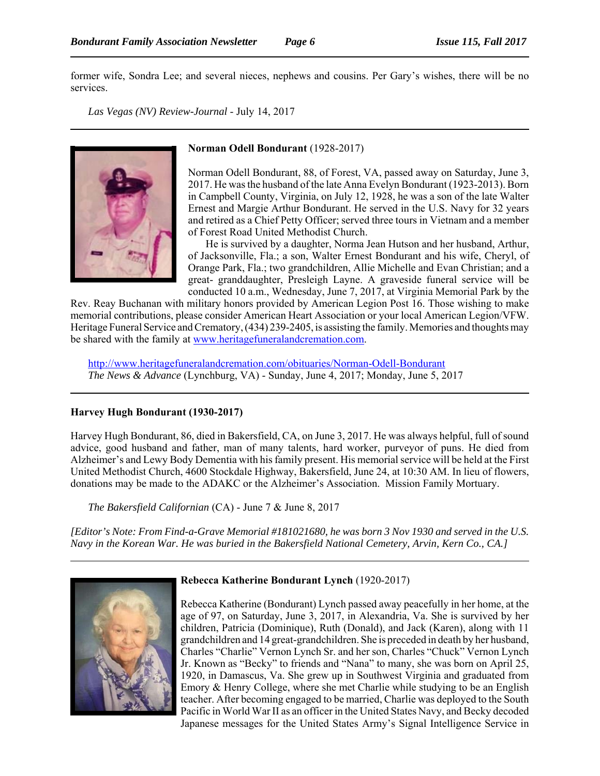former wife, Sondra Lee; and several nieces, nephews and cousins. Per Gary's wishes, there will be no services.

*Las Vegas (NV) Review-Journal* - July 14, 2017



#### **Norman Odell Bondurant** (1928-2017)

Norman Odell Bondurant, 88, of Forest, VA, passed away on Saturday, June 3, 2017. He was the husband of the late Anna Evelyn Bondurant (1923-2013). Born in Campbell County, Virginia, on July 12, 1928, he was a son of the late Walter Ernest and Margie Arthur Bondurant. He served in the U.S. Navy for 32 years and retired as a Chief Petty Officer; served three tours in Vietnam and a member of Forest Road United Methodist Church.

He is survived by a daughter, Norma Jean Hutson and her husband, Arthur, of Jacksonville, Fla.; a son, Walter Ernest Bondurant and his wife, Cheryl, of Orange Park, Fla.; two grandchildren, Allie Michelle and Evan Christian; and a great- granddaughter, Presleigh Layne. A graveside funeral service will be conducted 10 a.m., Wednesday, June 7, 2017, at Virginia Memorial Park by the

Rev. Reay Buchanan with military honors provided by American Legion Post 16. Those wishing to make memorial contributions, please consider American Heart Association or your local American Legion/VFW. Heritage Funeral Service and Crematory, (434) 239-2405, is assisting the family. Memories and thoughts may be shared with the family at www.heritagefuneralandcremation.com.

http://www.heritagefuneralandcremation.com/obituaries/Norman-Odell-Bondurant *The News & Advance* (Lynchburg, VA) - Sunday, June 4, 2017; Monday, June 5, 2017

### **Harvey Hugh Bondurant (1930-2017)**

Harvey Hugh Bondurant, 86, died in Bakersfield, CA, on June 3, 2017. He was always helpful, full of sound advice, good husband and father, man of many talents, hard worker, purveyor of puns. He died from Alzheimer's and Lewy Body Dementia with his family present. His memorial service will be held at the First United Methodist Church, 4600 Stockdale Highway, Bakersfield, June 24, at 10:30 AM. In lieu of flowers, donations may be made to the ADAKC or the Alzheimer's Association. Mission Family Mortuary.

*The Bakersfield Californian* (CA) - June 7 & June 8, 2017

*[Editor's Note: From Find-a-Grave Memorial #181021680, he was born 3 Nov 1930 and served in the U.S. Navy in the Korean War. He was buried in the Bakersfield National Cemetery, Arvin, Kern Co., CA.]*



## **Rebecca Katherine Bondurant Lynch** (1920-2017)

Rebecca Katherine (Bondurant) Lynch passed away peacefully in her home, at the age of 97, on Saturday, June 3, 2017, in Alexandria, Va. She is survived by her children, Patricia (Dominique), Ruth (Donald), and Jack (Karen), along with 11 grandchildren and 14 great-grandchildren. She is preceded in death by her husband, Charles "Charlie" Vernon Lynch Sr. and her son, Charles "Chuck" Vernon Lynch Jr. Known as "Becky" to friends and "Nana" to many, she was born on April 25, 1920, in Damascus, Va. She grew up in Southwest Virginia and graduated from Emory & Henry College, where she met Charlie while studying to be an English teacher. After becoming engaged to be married, Charlie was deployed to the South Pacific in World War II as an officer in the United States Navy, and Becky decoded Japanese messages for the United States Army's Signal Intelligence Service in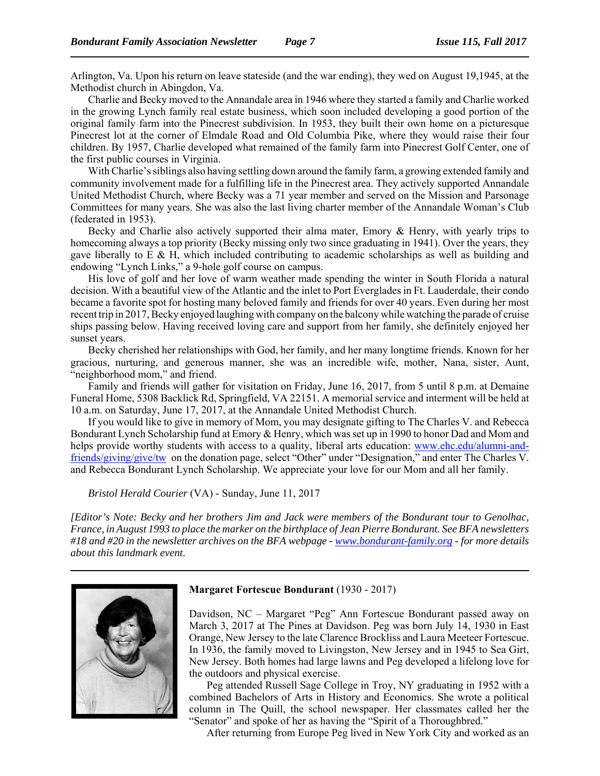Arlington, Va. Upon his return on leave stateside (and the war ending), they wed on August 19,1945, at the Methodist church in Abingdon, Va.

Charlie and Becky moved to the Annandale area in 1946 where they started a family and Charlie worked in the growing Lynch family real estate business, which soon included developing a good portion of the original family farm into the Pinecrest subdivision. In 1953, they built their own home on a picturesque Pinecrest lot at the corner of Elmdale Road and Old Columbia Pike, where they would raise their four children. By 1957, Charlie developed what remained of the family farm into Pinecrest Golf Center, one of the first public courses in Virginia.

With Charlie's siblings also having settling down around the family farm, a growing extended family and community involvement made for a fulfilling life in the Pinecrest area. They actively supported Annandale United Methodist Church, where Becky was a 71 year member and served on the Mission and Parsonage Committees for many years. She was also the last living charter member of the Annandale Woman's Club (federated in 1953).

Becky and Charlie also actively supported their alma mater, Emory & Henry, with yearly trips to homecoming always a top priority (Becky missing only two since graduating in 1941). Over the years, they gave liberally to  $E \& H$ , which included contributing to academic scholarships as well as building and endowing "Lynch Links," a 9-hole golf course on campus.

His love of golf and her love of warm weather made spending the winter in South Florida a natural decision. With a beautiful view of the Atlantic and the inlet to Port Everglades in Ft. Lauderdale, their condo became a favorite spot for hosting many beloved family and friends for over 40 years. Even during her most recent trip in 2017, Becky enjoyed laughing with company on the balcony while watching the parade of cruise ships passing below. Having received loving care and support from her family, she definitely enjoyed her sunset years.

Becky cherished her relationships with God, her family, and her many longtime friends. Known for her gracious, nurturing, and generous manner, she was an incredible wife, mother, Nana, sister, Aunt, "neighborhood mom," and friend.

Family and friends will gather for visitation on Friday, June 16, 2017, from 5 until 8 p.m. at Demaine Funeral Home, 5308 Backlick Rd, Springfield, VA 22151. A memorial service and interment will be held at 10 a.m. on Saturday, June 17, 2017, at the Annandale United Methodist Church.

If you would like to give in memory of Mom, you may designate gifting to The Charles V. and Rebecca Bondurant Lynch Scholarship fund at Emory & Henry, which was set up in 1990 to honor Dad and Mom and helps provide worthy students with access to a quality, liberal arts education: www.ehc.edu/alumni-andfriends/giving/give/tw on the donation page, select "Other" under "Designation," and enter The Charles V. and Rebecca Bondurant Lynch Scholarship. We appreciate your love for our Mom and all her family.

*Bristol Herald Courier* (VA) - Sunday, June 11, 2017

*[Editor's Note: Becky and her brothers Jim and Jack were members of the Bondurant tour to Genolhac, France, in August 1993 to place the marker on the birthplace of Jean Pierre Bondurant. See BFA newsletters #18 and #20 in the newsletter archives on the BFA webpage - www.bondurant-family.org - for more details about this landmark event.* 



#### **Margaret Fortescue Bondurant** (1930 - 2017)

Davidson, NC – Margaret "Peg" Ann Fortescue Bondurant passed away on March 3, 2017 at The Pines at Davidson. Peg was born July 14, 1930 in East Orange, New Jersey to the late Clarence Brockliss and Laura Meeteer Fortescue. In 1936, the family moved to Livingston, New Jersey and in 1945 to Sea Girt, New Jersey. Both homes had large lawns and Peg developed a lifelong love for the outdoors and physical exercise.

Peg attended Russell Sage College in Troy, NY graduating in 1952 with a combined Bachelors of Arts in History and Economics. She wrote a political column in The Quill, the school newspaper. Her classmates called her the "Senator" and spoke of her as having the "Spirit of a Thoroughbred."

After returning from Europe Peg lived in New York City and worked as an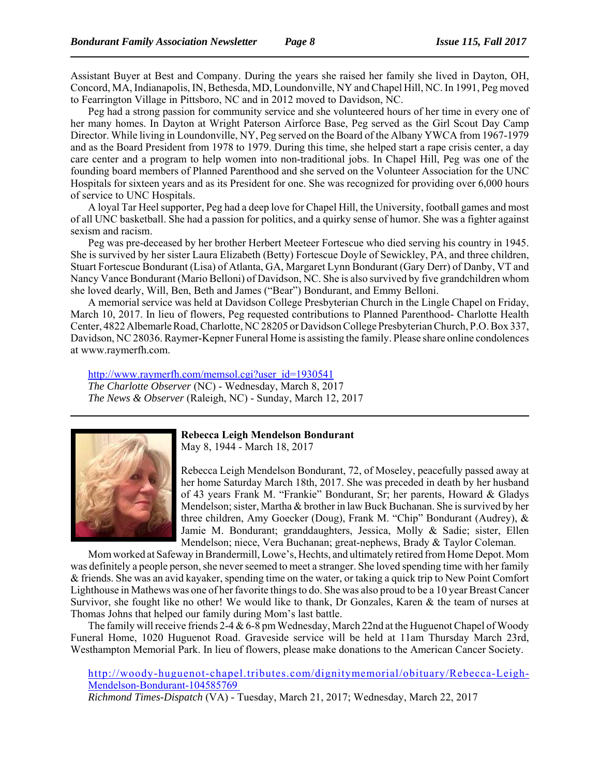Assistant Buyer at Best and Company. During the years she raised her family she lived in Dayton, OH, Concord, MA, Indianapolis, IN, Bethesda, MD, Loundonville, NY and Chapel Hill, NC. In 1991, Peg moved to Fearrington Village in Pittsboro, NC and in 2012 moved to Davidson, NC.

Peg had a strong passion for community service and she volunteered hours of her time in every one of her many homes. In Dayton at Wright Paterson Airforce Base, Peg served as the Girl Scout Day Camp Director. While living in Loundonville, NY, Peg served on the Board of the Albany YWCA from 1967-1979 and as the Board President from 1978 to 1979. During this time, she helped start a rape crisis center, a day care center and a program to help women into non-traditional jobs. In Chapel Hill, Peg was one of the founding board members of Planned Parenthood and she served on the Volunteer Association for the UNC Hospitals for sixteen years and as its President for one. She was recognized for providing over 6,000 hours of service to UNC Hospitals.

A loyal Tar Heel supporter, Peg had a deep love for Chapel Hill, the University, football games and most of all UNC basketball. She had a passion for politics, and a quirky sense of humor. She was a fighter against sexism and racism.

Peg was pre-deceased by her brother Herbert Meeteer Fortescue who died serving his country in 1945. She is survived by her sister Laura Elizabeth (Betty) Fortescue Doyle of Sewickley, PA, and three children, Stuart Fortescue Bondurant (Lisa) of Atlanta, GA, Margaret Lynn Bondurant (Gary Derr) of Danby, VT and Nancy Vance Bondurant (Mario Belloni) of Davidson, NC. She is also survived by five grandchildren whom she loved dearly, Will, Ben, Beth and James ("Bear") Bondurant, and Emmy Belloni.

A memorial service was held at Davidson College Presbyterian Church in the Lingle Chapel on Friday, March 10, 2017. In lieu of flowers, Peg requested contributions to Planned Parenthood- Charlotte Health Center, 4822 Albemarle Road, Charlotte, NC 28205 or Davidson College Presbyterian Church, P.O. Box 337, Davidson, NC 28036. Raymer-Kepner Funeral Home is assisting the family. Please share online condolences at www.raymerfh.com.

http://www.raymerfh.com/memsol.cgi?user\_id=1930541 *The Charlotte Observer* (NC) - Wednesday, March 8, 2017 *The News & Observer* (Raleigh, NC) - Sunday, March 12, 2017



**Rebecca Leigh Mendelson Bondurant**

May 8, 1944 - March 18, 2017

Rebecca Leigh Mendelson Bondurant, 72, of Moseley, peacefully passed away at her home Saturday March 18th, 2017. She was preceded in death by her husband of 43 years Frank M. "Frankie" Bondurant, Sr; her parents, Howard & Gladys Mendelson; sister, Martha & brother in law Buck Buchanan. She is survived by her three children, Amy Goecker (Doug), Frank M. "Chip" Bondurant (Audrey), & Jamie M. Bondurant; granddaughters, Jessica, Molly & Sadie; sister, Ellen Mendelson; niece, Vera Buchanan; great-nephews, Brady & Taylor Coleman.

Mom worked at Safeway in Brandermill, Lowe's, Hechts, and ultimately retired from Home Depot. Mom was definitely a people person, she never seemed to meet a stranger. She loved spending time with her family & friends. She was an avid kayaker, spending time on the water, or taking a quick trip to New Point Comfort Lighthouse in Mathews was one of her favorite things to do. She was also proud to be a 10 year Breast Cancer Survivor, she fought like no other! We would like to thank, Dr Gonzales, Karen & the team of nurses at Thomas Johns that helped our family during Mom's last battle.

The family will receive friends 2-4 & 6-8 pm Wednesday, March 22nd at the Huguenot Chapel of Woody Funeral Home, 1020 Huguenot Road. Graveside service will be held at 11am Thursday March 23rd, Westhampton Memorial Park. In lieu of flowers, please make donations to the American Cancer Society.

http://woody-huguenot-chapel.tributes.com/dignitymemorial/obituary/Rebecca-Leigh-Mendelson-Bondurant-104585769 *Richmond Times-Dispatch* (VA) - Tuesday, March 21, 2017; Wednesday, March 22, 2017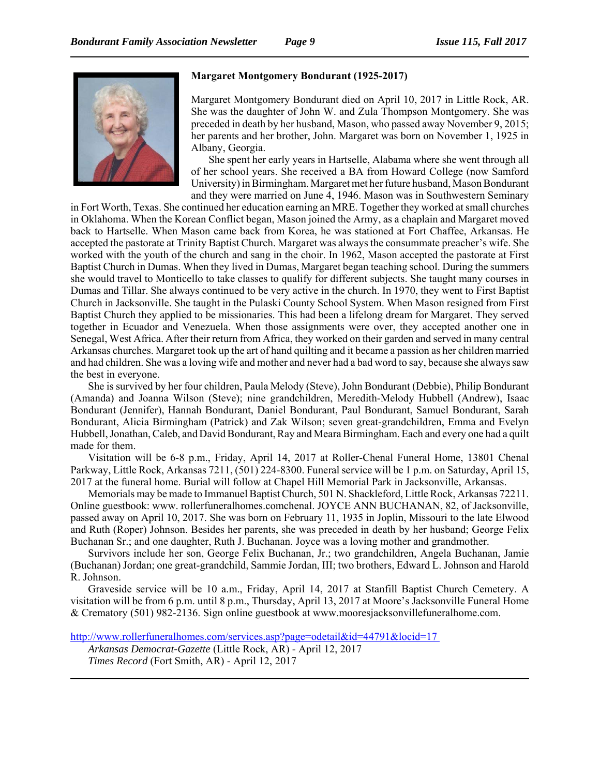

## **Margaret Montgomery Bondurant (1925-2017)**

Margaret Montgomery Bondurant died on April 10, 2017 in Little Rock, AR. She was the daughter of John W. and Zula Thompson Montgomery. She was preceded in death by her husband, Mason, who passed away November 9, 2015; her parents and her brother, John. Margaret was born on November 1, 1925 in Albany, Georgia.

She spent her early years in Hartselle, Alabama where she went through all of her school years. She received a BA from Howard College (now Samford University) in Birmingham. Margaret met her future husband, Mason Bondurant and they were married on June 4, 1946. Mason was in Southwestern Seminary

in Fort Worth, Texas. She continued her education earning an MRE. Together they worked at small churches in Oklahoma. When the Korean Conflict began, Mason joined the Army, as a chaplain and Margaret moved back to Hartselle. When Mason came back from Korea, he was stationed at Fort Chaffee, Arkansas. He accepted the pastorate at Trinity Baptist Church. Margaret was always the consummate preacher's wife. She worked with the youth of the church and sang in the choir. In 1962, Mason accepted the pastorate at First Baptist Church in Dumas. When they lived in Dumas, Margaret began teaching school. During the summers she would travel to Monticello to take classes to qualify for different subjects. She taught many courses in Dumas and Tillar. She always continued to be very active in the church. In 1970, they went to First Baptist Church in Jacksonville. She taught in the Pulaski County School System. When Mason resigned from First Baptist Church they applied to be missionaries. This had been a lifelong dream for Margaret. They served together in Ecuador and Venezuela. When those assignments were over, they accepted another one in Senegal, West Africa. After their return from Africa, they worked on their garden and served in many central Arkansas churches. Margaret took up the art of hand quilting and it became a passion as her children married and had children. She was a loving wife and mother and never had a bad word to say, because she always saw the best in everyone.

She is survived by her four children, Paula Melody (Steve), John Bondurant (Debbie), Philip Bondurant (Amanda) and Joanna Wilson (Steve); nine grandchildren, Meredith-Melody Hubbell (Andrew), Isaac Bondurant (Jennifer), Hannah Bondurant, Daniel Bondurant, Paul Bondurant, Samuel Bondurant, Sarah Bondurant, Alicia Birmingham (Patrick) and Zak Wilson; seven great-grandchildren, Emma and Evelyn Hubbell, Jonathan, Caleb, and David Bondurant, Ray and Meara Birmingham. Each and every one had a quilt made for them.

Visitation will be 6-8 p.m., Friday, April 14, 2017 at Roller-Chenal Funeral Home, 13801 Chenal Parkway, Little Rock, Arkansas 7211, (501) 224-8300. Funeral service will be 1 p.m. on Saturday, April 15, 2017 at the funeral home. Burial will follow at Chapel Hill Memorial Park in Jacksonville, Arkansas.

Memorials may be made to Immanuel Baptist Church, 501 N. Shackleford, Little Rock, Arkansas 72211. Online guestbook: www. rollerfuneralhomes.comchenal. JOYCE ANN BUCHANAN, 82, of Jacksonville, passed away on April 10, 2017. She was born on February 11, 1935 in Joplin, Missouri to the late Elwood and Ruth (Roper) Johnson. Besides her parents, she was preceded in death by her husband; George Felix Buchanan Sr.; and one daughter, Ruth J. Buchanan. Joyce was a loving mother and grandmother.

Survivors include her son, George Felix Buchanan, Jr.; two grandchildren, Angela Buchanan, Jamie (Buchanan) Jordan; one great-grandchild, Sammie Jordan, III; two brothers, Edward L. Johnson and Harold R. Johnson.

Graveside service will be 10 a.m., Friday, April 14, 2017 at Stanfill Baptist Church Cemetery. A visitation will be from 6 p.m. until 8 p.m., Thursday, April 13, 2017 at Moore's Jacksonville Funeral Home & Crematory (501) 982-2136. Sign online guestbook at www.mooresjacksonvillefuneralhome.com.

http://www.rollerfuneralhomes.com/services.asp?page=odetail&id=44791&locid=17 *Arkansas Democrat-Gazette* (Little Rock, AR) - April 12, 2017 *Times Record* (Fort Smith, AR) - April 12, 2017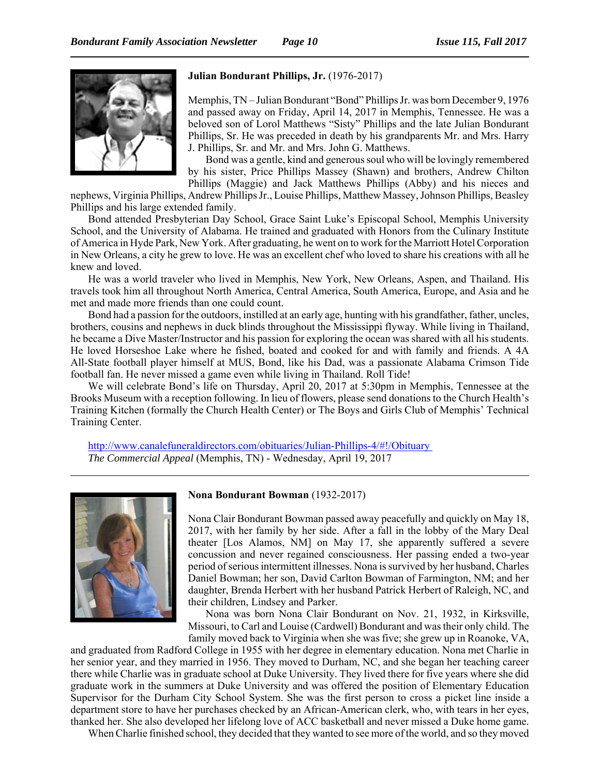

### **Julian Bondurant Phillips, Jr.** (1976-2017)

Memphis, TN – Julian Bondurant "Bond" Phillips Jr. was born December 9, 1976 and passed away on Friday, April 14, 2017 in Memphis, Tennessee. He was a beloved son of Lorol Matthews "Sisty" Phillips and the late Julian Bondurant Phillips, Sr. He was preceded in death by his grandparents Mr. and Mrs. Harry J. Phillips, Sr. and Mr. and Mrs. John G. Matthews.

Bond was a gentle, kind and generous soul who will be lovingly remembered by his sister, Price Phillips Massey (Shawn) and brothers, Andrew Chilton Phillips (Maggie) and Jack Matthews Phillips (Abby) and his nieces and

nephews, Virginia Phillips, Andrew Phillips Jr., Louise Phillips, Matthew Massey, Johnson Phillips, Beasley Phillips and his large extended family.

Bond attended Presbyterian Day School, Grace Saint Luke's Episcopal School, Memphis University School, and the University of Alabama. He trained and graduated with Honors from the Culinary Institute of America in Hyde Park, New York. After graduating, he went on to work for the Marriott Hotel Corporation in New Orleans, a city he grew to love. He was an excellent chef who loved to share his creations with all he knew and loved.

He was a world traveler who lived in Memphis, New York, New Orleans, Aspen, and Thailand. His travels took him all throughout North America, Central America, South America, Europe, and Asia and he met and made more friends than one could count.

Bond had a passion for the outdoors, instilled at an early age, hunting with his grandfather, father, uncles, brothers, cousins and nephews in duck blinds throughout the Mississippi flyway. While living in Thailand, he became a Dive Master/Instructor and his passion for exploring the ocean was shared with all his students. He loved Horseshoe Lake where he fished, boated and cooked for and with family and friends. A 4A All-State football player himself at MUS, Bond, like his Dad, was a passionate Alabama Crimson Tide football fan. He never missed a game even while living in Thailand. Roll Tide!

We will celebrate Bond's life on Thursday, April 20, 2017 at 5:30pm in Memphis, Tennessee at the Brooks Museum with a reception following. In lieu of flowers, please send donations to the Church Health's Training Kitchen (formally the Church Health Center) or The Boys and Girls Club of Memphis' Technical Training Center.

http://www.canalefuneraldirectors.com/obituaries/Julian-Phillips-4/#!/Obituary *The Commercial Appeal* (Memphis, TN) - Wednesday, April 19, 2017



#### **Nona Bondurant Bowman** (1932-2017)

Nona Clair Bondurant Bowman passed away peacefully and quickly on May 18, 2017, with her family by her side. After a fall in the lobby of the Mary Deal theater [Los Alamos, NM] on May 17, she apparently suffered a severe concussion and never regained consciousness. Her passing ended a two-year period of serious intermittent illnesses. Nona is survived by her husband, Charles Daniel Bowman; her son, David Carlton Bowman of Farmington, NM; and her daughter, Brenda Herbert with her husband Patrick Herbert of Raleigh, NC, and their children, Lindsey and Parker.

Nona was born Nona Clair Bondurant on Nov. 21, 1932, in Kirksville, Missouri, to Carl and Louise (Cardwell) Bondurant and was their only child. The family moved back to Virginia when she was five; she grew up in Roanoke, VA,

and graduated from Radford College in 1955 with her degree in elementary education. Nona met Charlie in her senior year, and they married in 1956. They moved to Durham, NC, and she began her teaching career there while Charlie was in graduate school at Duke University. They lived there for five years where she did graduate work in the summers at Duke University and was offered the position of Elementary Education Supervisor for the Durham City School System. She was the first person to cross a picket line inside a department store to have her purchases checked by an African-American clerk, who, with tears in her eyes, thanked her. She also developed her lifelong love of ACC basketball and never missed a Duke home game.

When Charlie finished school, they decided that they wanted to see more of the world, and so they moved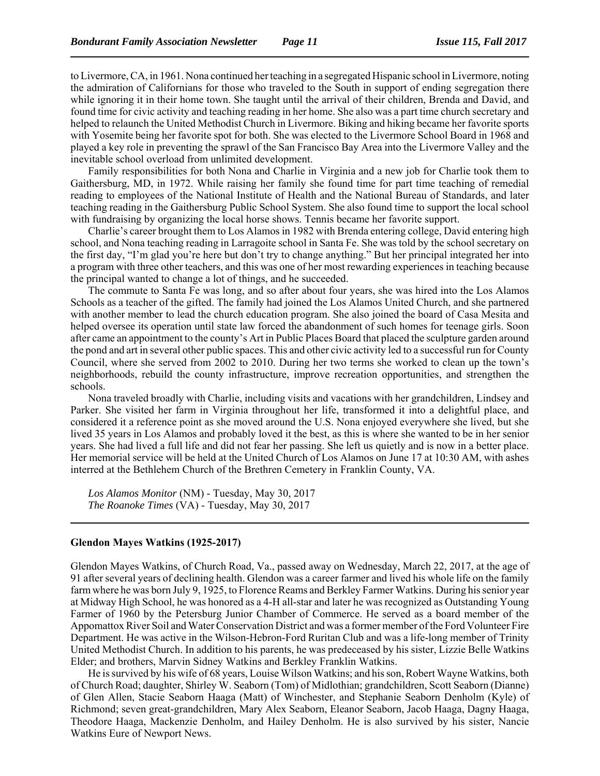to Livermore, CA, in 1961. Nona continued her teaching in a segregated Hispanic school in Livermore, noting the admiration of Californians for those who traveled to the South in support of ending segregation there while ignoring it in their home town. She taught until the arrival of their children, Brenda and David, and found time for civic activity and teaching reading in her home. She also was a part time church secretary and helped to relaunch the United Methodist Church in Livermore. Biking and hiking became her favorite sports with Yosemite being her favorite spot for both. She was elected to the Livermore School Board in 1968 and played a key role in preventing the sprawl of the San Francisco Bay Area into the Livermore Valley and the inevitable school overload from unlimited development.

Family responsibilities for both Nona and Charlie in Virginia and a new job for Charlie took them to Gaithersburg, MD, in 1972. While raising her family she found time for part time teaching of remedial reading to employees of the National Institute of Health and the National Bureau of Standards, and later teaching reading in the Gaithersburg Public School System. She also found time to support the local school with fundraising by organizing the local horse shows. Tennis became her favorite support.

Charlie's career brought them to Los Alamos in 1982 with Brenda entering college, David entering high school, and Nona teaching reading in Larragoite school in Santa Fe. She was told by the school secretary on the first day, "I'm glad you're here but don't try to change anything." But her principal integrated her into a program with three other teachers, and this was one of her most rewarding experiences in teaching because the principal wanted to change a lot of things, and he succeeded.

The commute to Santa Fe was long, and so after about four years, she was hired into the Los Alamos Schools as a teacher of the gifted. The family had joined the Los Alamos United Church, and she partnered with another member to lead the church education program. She also joined the board of Casa Mesita and helped oversee its operation until state law forced the abandonment of such homes for teenage girls. Soon after came an appointment to the county's Art in Public Places Board that placed the sculpture garden around the pond and art in several other public spaces. This and other civic activity led to a successful run for County Council, where she served from 2002 to 2010. During her two terms she worked to clean up the town's neighborhoods, rebuild the county infrastructure, improve recreation opportunities, and strengthen the schools.

Nona traveled broadly with Charlie, including visits and vacations with her grandchildren, Lindsey and Parker. She visited her farm in Virginia throughout her life, transformed it into a delightful place, and considered it a reference point as she moved around the U.S. Nona enjoyed everywhere she lived, but she lived 35 years in Los Alamos and probably loved it the best, as this is where she wanted to be in her senior years. She had lived a full life and did not fear her passing. She left us quietly and is now in a better place. Her memorial service will be held at the United Church of Los Alamos on June 17 at 10:30 AM, with ashes interred at the Bethlehem Church of the Brethren Cemetery in Franklin County, VA.

*Los Alamos Monitor* (NM) - Tuesday, May 30, 2017 *The Roanoke Times* (VA) - Tuesday, May 30, 2017

#### **Glendon Mayes Watkins (1925-2017)**

Glendon Mayes Watkins, of Church Road, Va., passed away on Wednesday, March 22, 2017, at the age of 91 after several years of declining health. Glendon was a career farmer and lived his whole life on the family farm where he was born July 9, 1925, to Florence Reams and Berkley Farmer Watkins. During his senior year at Midway High School, he was honored as a 4-H all-star and later he was recognized as Outstanding Young Farmer of 1960 by the Petersburg Junior Chamber of Commerce. He served as a board member of the Appomattox River Soil and Water Conservation District and was a former member of the Ford Volunteer Fire Department. He was active in the Wilson-Hebron-Ford Ruritan Club and was a life-long member of Trinity United Methodist Church. In addition to his parents, he was predeceased by his sister, Lizzie Belle Watkins Elder; and brothers, Marvin Sidney Watkins and Berkley Franklin Watkins.

He is survived by his wife of 68 years, Louise Wilson Watkins; and his son, Robert Wayne Watkins, both of Church Road; daughter, Shirley W. Seaborn (Tom) of Midlothian; grandchildren, Scott Seaborn (Dianne) of Glen Allen, Stacie Seaborn Haaga (Matt) of Winchester, and Stephanie Seaborn Denholm (Kyle) of Richmond; seven great-grandchildren, Mary Alex Seaborn, Eleanor Seaborn, Jacob Haaga, Dagny Haaga, Theodore Haaga, Mackenzie Denholm, and Hailey Denholm. He is also survived by his sister, Nancie Watkins Eure of Newport News.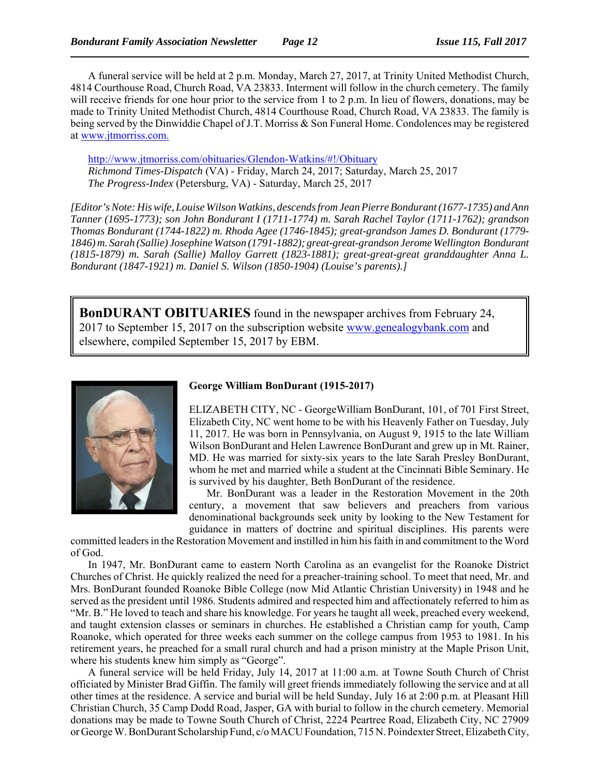A funeral service will be held at 2 p.m. Monday, March 27, 2017, at Trinity United Methodist Church, 4814 Courthouse Road, Church Road, VA 23833. Interment will follow in the church cemetery. The family will receive friends for one hour prior to the service from 1 to 2 p.m. In lieu of flowers, donations, may be made to Trinity United Methodist Church, 4814 Courthouse Road, Church Road, VA 23833. The family is being served by the Dinwiddie Chapel of J.T. Morriss & Son Funeral Home. Condolences may be registered at www.jtmorriss.com.

http://www.jtmorriss.com/obituaries/Glendon-Watkins/#!/Obituary *Richmond Times-Dispatch* (VA) - Friday, March 24, 2017; Saturday, March 25, 2017 *The Progress-Index* (Petersburg, VA) - Saturday, March 25, 2017

*[Editor's Note: His wife, Louise Wilson Watkins, descends from Jean Pierre Bondurant (1677-1735) and Ann Tanner (1695-1773); son John Bondurant I (1711-1774) m. Sarah Rachel Taylor (1711-1762); grandson Thomas Bondurant (1744-1822) m. Rhoda Agee (1746-1845); great-grandson James D. Bondurant (1779- 1846) m. Sarah (Sallie) Josephine Watson (1791-1882); great-great-grandson Jerome Wellington Bondurant (1815-1879) m. Sarah (Sallie) Malloy Garrett (1823-1881); great-great-great granddaughter Anna L. Bondurant (1847-1921) m. Daniel S. Wilson (1850-1904) (Louise's parents).]*

**BonDURANT OBITUARIES** found in the newspaper archives from February 24, 2017 to September 15, 2017 on the subscription website www.genealogybank.com and elsewhere, compiled September 15, 2017 by EBM.



#### **George William BonDurant (1915-2017)**

ELIZABETH CITY, NC - GeorgeWilliam BonDurant, 101, of 701 First Street, Elizabeth City, NC went home to be with his Heavenly Father on Tuesday, July 11, 2017. He was born in Pennsylvania, on August 9, 1915 to the late William Wilson BonDurant and Helen Lawrence BonDurant and grew up in Mt. Rainer, MD. He was married for sixty-six years to the late Sarah Presley BonDurant, whom he met and married while a student at the Cincinnati Bible Seminary. He is survived by his daughter, Beth BonDurant of the residence.

Mr. BonDurant was a leader in the Restoration Movement in the 20th century, a movement that saw believers and preachers from various denominational backgrounds seek unity by looking to the New Testament for guidance in matters of doctrine and spiritual disciplines. His parents were

committed leaders in the Restoration Movement and instilled in him his faith in and commitment to the Word of God.

In 1947, Mr. BonDurant came to eastern North Carolina as an evangelist for the Roanoke District Churches of Christ. He quickly realized the need for a preacher-training school. To meet that need, Mr. and Mrs. BonDurant founded Roanoke Bible College (now Mid Atlantic Christian University) in 1948 and he served as the president until 1986. Students admired and respected him and affectionately referred to him as "Mr. B." He loved to teach and share his knowledge. For years he taught all week, preached every weekend, and taught extension classes or seminars in churches. He established a Christian camp for youth, Camp Roanoke, which operated for three weeks each summer on the college campus from 1953 to 1981. In his retirement years, he preached for a small rural church and had a prison ministry at the Maple Prison Unit, where his students knew him simply as "George".

A funeral service will be held Friday, July 14, 2017 at 11:00 a.m. at Towne South Church of Christ officiated by Minister Brad Giffin. The family will greet friends immediately following the service and at all other times at the residence. A service and burial will be held Sunday, July 16 at 2:00 p.m. at Pleasant Hill Christian Church, 35 Camp Dodd Road, Jasper, GA with burial to follow in the church cemetery. Memorial donations may be made to Towne South Church of Christ, 2224 Peartree Road, Elizabeth City, NC 27909 or George W. BonDurant Scholarship Fund, c/o MACU Foundation, 715 N. Poindexter Street, Elizabeth City,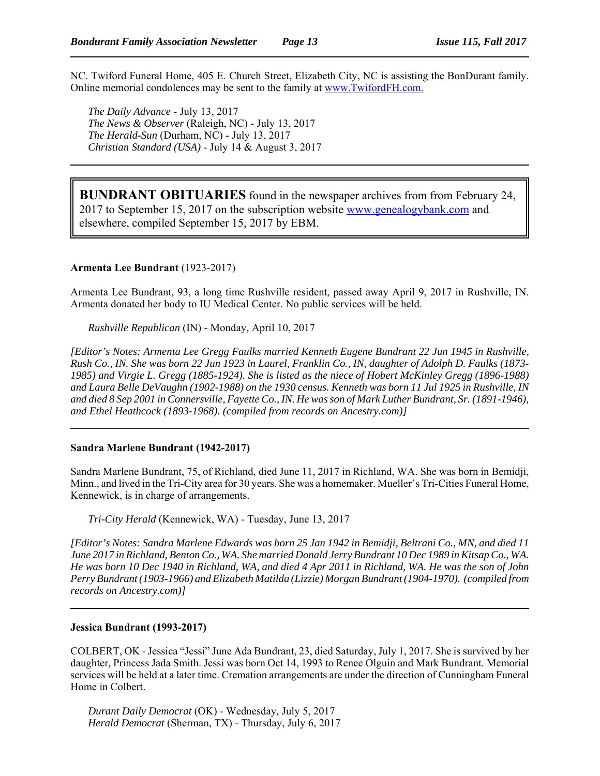NC. Twiford Funeral Home, 405 E. Church Street, Elizabeth City, NC is assisting the BonDurant family. Online memorial condolences may be sent to the family at www.TwifordFH.com.

*The Daily Advance* - July 13, 2017 *The News & Observer* (Raleigh, NC) - July 13, 2017 *The Herald-Sun* (Durham, NC) - July 13, 2017 *Christian Standard (USA)* - July 14 & August 3, 2017

**BUNDRANT OBITUARIES** found in the newspaper archives from from February 24, 2017 to September 15, 2017 on the subscription website www.genealogybank.com and elsewhere, compiled September 15, 2017 by EBM.

#### **Armenta Lee Bundrant** (1923-2017)

Armenta Lee Bundrant, 93, a long time Rushville resident, passed away April 9, 2017 in Rushville, IN. Armenta donated her body to IU Medical Center. No public services will be held.

*Rushville Republican* (IN) - Monday, April 10, 2017

*[Editor's Notes: Armenta Lee Gregg Faulks married Kenneth Eugene Bundrant 22 Jun 1945 in Rushville, Rush Co., IN. She was born 22 Jun 1923 in Laurel, Franklin Co., IN, daughter of Adolph D. Faulks (1873- 1985) and Virgie L. Gregg (1885-1924). She is listed as the niece of Hobert McKinley Gregg (1896-1988) and Laura Belle DeVaughn (1902-1988) on the 1930 census. Kenneth was born 11 Jul 1925 in Rushville, IN and died 8 Sep 2001 in Connersville, Fayette Co., IN. He was son of Mark Luther Bundrant, Sr. (1891-1946), and Ethel Heathcock (1893-1968). (compiled from records on Ancestry.com)]*

#### **Sandra Marlene Bundrant (1942-2017)**

Sandra Marlene Bundrant, 75, of Richland, died June 11, 2017 in Richland, WA. She was born in Bemidji, Minn., and lived in the Tri-City area for 30 years. She was a homemaker. Mueller's Tri-Cities Funeral Home, Kennewick, is in charge of arrangements.

*Tri-City Herald* (Kennewick, WA) - Tuesday, June 13, 2017

*[Editor's Notes: Sandra Marlene Edwards was born 25 Jan 1942 in Bemidji, Beltrani Co., MN, and died 11 June 2017 in Richland, Benton Co., WA. She married Donald Jerry Bundrant 10 Dec 1989 in Kitsap Co., WA. He was born 10 Dec 1940 in Richland, WA, and died 4 Apr 2011 in Richland, WA. He was the son of John Perry Bundrant (1903-1966) and Elizabeth Matilda (Lizzie) Morgan Bundrant (1904-1970). (compiled from records on Ancestry.com)]*

#### **Jessica Bundrant (1993-2017)**

COLBERT, OK - Jessica "Jessi" June Ada Bundrant, 23, died Saturday, July 1, 2017. She is survived by her daughter, Princess Jada Smith. Jessi was born Oct 14, 1993 to Renee Olguin and Mark Bundrant. Memorial services will be held at a later time. Cremation arrangements are under the direction of Cunningham Funeral Home in Colbert.

*Durant Daily Democrat* (OK) - Wednesday, July 5, 2017 *Herald Democrat* (Sherman, TX) - Thursday, July 6, 2017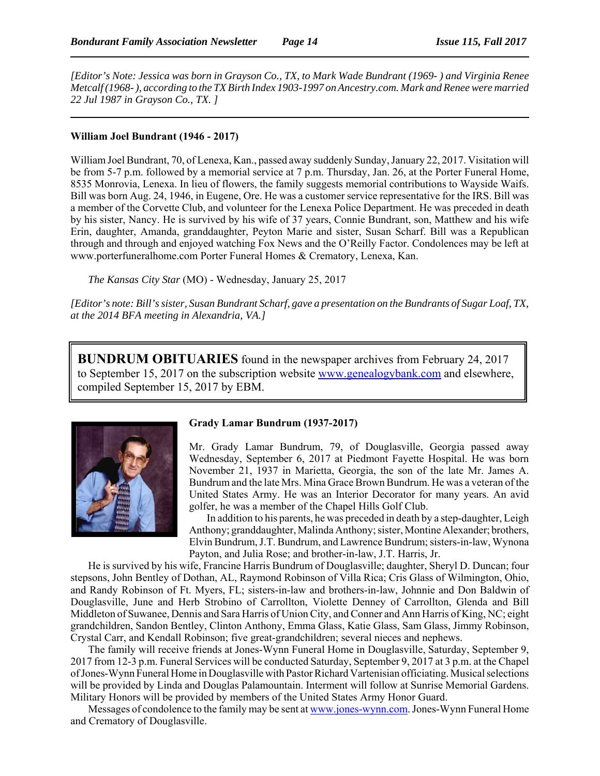*[Editor's Note: Jessica was born in Grayson Co., TX, to Mark Wade Bundrant (1969- ) and Virginia Renee Metcalf (1968- ), according to the TX Birth Index 1903-1997 on Ancestry.com. Mark and Renee were married 22 Jul 1987 in Grayson Co., TX. ]*

#### **William Joel Bundrant (1946 - 2017)**

William Joel Bundrant, 70, of Lenexa, Kan., passed away suddenly Sunday, January 22, 2017. Visitation will be from 5-7 p.m. followed by a memorial service at 7 p.m. Thursday, Jan. 26, at the Porter Funeral Home, 8535 Monrovia, Lenexa. In lieu of flowers, the family suggests memorial contributions to Wayside Waifs. Bill was born Aug. 24, 1946, in Eugene, Ore. He was a customer service representative for the IRS. Bill was a member of the Corvette Club, and volunteer for the Lenexa Police Department. He was preceded in death by his sister, Nancy. He is survived by his wife of 37 years, Connie Bundrant, son, Matthew and his wife Erin, daughter, Amanda, granddaughter, Peyton Marie and sister, Susan Scharf. Bill was a Republican through and through and enjoyed watching Fox News and the O'Reilly Factor. Condolences may be left at www.porterfuneralhome.com Porter Funeral Homes & Crematory, Lenexa, Kan.

*The Kansas City Star* (MO) - Wednesday, January 25, 2017

*[Editor's note: Bill's sister, Susan Bundrant Scharf, gave a presentation on the Bundrants of Sugar Loaf, TX, at the 2014 BFA meeting in Alexandria, VA.]*

**BUNDRUM OBITUARIES** found in the newspaper archives from February 24, 2017 to September 15, 2017 on the subscription website www.genealogybank.com and elsewhere, compiled September 15, 2017 by EBM.



#### **Grady Lamar Bundrum (1937-2017)**

Mr. Grady Lamar Bundrum, 79, of Douglasville, Georgia passed away Wednesday, September 6, 2017 at Piedmont Fayette Hospital. He was born November 21, 1937 in Marietta, Georgia, the son of the late Mr. James A. Bundrum and the late Mrs. Mina Grace Brown Bundrum. He was a veteran of the United States Army. He was an Interior Decorator for many years. An avid golfer, he was a member of the Chapel Hills Golf Club.

In addition to his parents, he was preceded in death by a step-daughter, Leigh Anthony; granddaughter, Malinda Anthony; sister, Montine Alexander; brothers, Elvin Bundrum, J.T. Bundrum, and Lawrence Bundrum; sisters-in-law, Wynona Payton, and Julia Rose; and brother-in-law, J.T. Harris, Jr.

He is survived by his wife, Francine Harris Bundrum of Douglasville; daughter, Sheryl D. Duncan; four stepsons, John Bentley of Dothan, AL, Raymond Robinson of Villa Rica; Cris Glass of Wilmington, Ohio, and Randy Robinson of Ft. Myers, FL; sisters-in-law and brothers-in-law, Johnnie and Don Baldwin of Douglasville, June and Herb Strobino of Carrollton, Violette Denney of Carrollton, Glenda and Bill Middleton of Suwanee, Dennis and Sara Harris of Union City, and Conner and Ann Harris of King, NC; eight grandchildren, Sandon Bentley, Clinton Anthony, Emma Glass, Katie Glass, Sam Glass, Jimmy Robinson, Crystal Carr, and Kendall Robinson; five great-grandchildren; several nieces and nephews.

The family will receive friends at Jones-Wynn Funeral Home in Douglasville, Saturday, September 9, 2017 from 12-3 p.m. Funeral Services will be conducted Saturday, September 9, 2017 at 3 p.m. at the Chapel of Jones-Wynn Funeral Home in Douglasville with Pastor Richard Vartenisian officiating. Musical selections will be provided by Linda and Douglas Palamountain. Interment will follow at Sunrise Memorial Gardens. Military Honors will be provided by members of the United States Army Honor Guard.

Messages of condolence to the family may be sent at www.jones-wynn.com. Jones-Wynn Funeral Home and Crematory of Douglasville.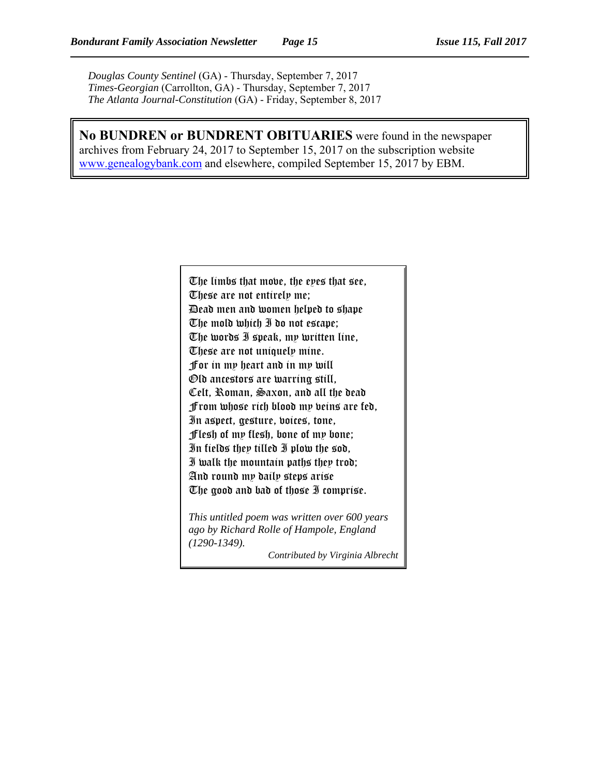*Douglas County Sentinel* (GA) - Thursday, September 7, 2017 *Times-Georgian* (Carrollton, GA) - Thursday, September 7, 2017 *The Atlanta Journal-Constitution* (GA) - Friday, September 8, 2017

**No BUNDREN or BUNDRENT OBITUARIES** were found in the newspaper archives from February 24, 2017 to September 15, 2017 on the subscription website www.genealogybank.com and elsewhere, compiled September 15, 2017 by EBM.

> The limbs that move, the eyes that see, These are not entirely me; Dead men and women helped to shape The mold which I do not escape; The words I speak, my written line, These are not uniquely mine. For in my heart and in my will Old ancestors are warring still, Celt, Roman, Saxon, and all the dead From whose rich blood my veins are fed, In aspect, gesture, voices, tone, Flesh of my flesh, bone of my bone; In fields they tilled I plow the sod, I walk the mountain paths they trod; And round my daily steps arise The good and bad of those I comprise.

*This untitled poem was written over 600 years ago by Richard Rolle of Hampole, England (1290-1349).*

*Contributed by Virginia Albrecht*